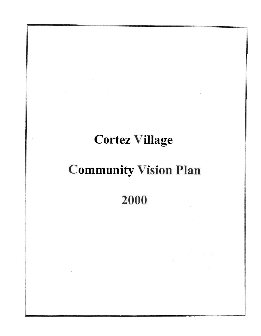# **Cortez Village**

# **Community Vision Plan**

2000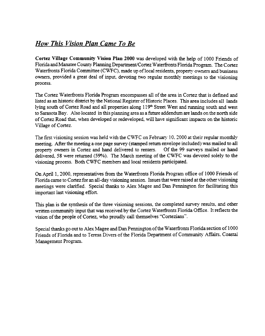# How This Vision Plan Came To Be

Cortez Village Community Vision Plan 2000 was developed with the help of 1000 Friends of Florida and Manatee County Planning Department/Cortez Waterfronts Florida Program. The Cortez Waterfronts Florida Committee (CWFC), made up of local residents, property owners and business owners, provided a great deal of input, devoting two regular monthly meetings to the visioning process.

The Cortez Waterfronts Florida Program encompasses all of the area in Cortez that is defined and listed as an historic district by the National Register of Historic Places. This area includes all lands lying south of Cortez Road and all properties along 119<sup>th</sup> Street West and running south and west to Sarasota Bay. Also located in this planning area as a future addendum are lands on the north side of Cortez Road that, when developed or redeveloped, will have significant impacts on the historic Village of Cortez.

The first visioning session was held with the CWFC on February 10, 2000 at their regular monthly meeting, After the meeting a one page survey (stamped return envelope included) was mailed to all property owners in Cortez and hand delivered to renters. Of the 99 surveys mailed or hand delivered, 58 were returned (59%). The March meeting of the CWFC was devoted solely to the visioning process. Both CWFC members and local residents participated.

On April 1, 2000, representatives from the Waterfronts Florida Program office of 1000 Friends of Florida came to Cortez for an all-day visioning session. Issues that were raised at the other visioning meetings were clarified. Special thanks to Alex Magee and Dan Pennington for facilitating this important last visioning effort.

This plan is the synthesis of the three visioning sessions, the completed survey results, and other written community input that was received by the Cortez Waterfronts Florida Office. It reflects the vision of the people of Cortez, who proudly call themselves "Cortezians".

Special thanks go out to Alex Magee and Dan Pennington of the Waterfronts Florida section of 1 000 Friends of Florida and to Teresa Divers of the Florida Department of Community Affairs. Coastal Management Program.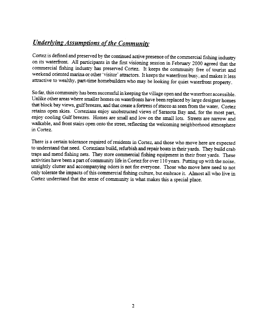# **Underlying Assumptions of the Community**

Cortez is defined and preserved by the continued active presence of the commercial fishing industry. on its waterfront. All participants in the first visioning session in February 2000 agreed that the commercial fishing industry has preserved Cortez. It keeps the community free of tourist and weekend oriented marina or other 'visitor' attractors. It keeps the waterfront busy, and makes it less attractive to wealthy, part-time homebuilders who may be looking for quiet waterfront property.

So far, this community has been successful in keeping the village open and the waterfront accessible. Unlike other areas where smaller homes on waterfronts have been replaced by large designer homes that block bay views, gulf breezes, and that create a fortress of stucco as seen from the water, Cortez retains open skies. Cortezians enjoy unobstructed views of Sarasota Bay and, for the most part, enjoy cooling Gulf breezes. Homes are small and low on the small lots. Streets are narrow and walkable, and front stairs open onto the street, reflecting the welcoming neighborhood atmosphere in Cortez.

There is a certain tolerance required of residents in Cortez, and those who move here are expected to understand that need. Cortezians build, refurbish and repair boats in their yards. They build crab traps and mend fishing nets. They store commercial fishing equipment in their front yards. These activities have been a part of community-life in Cortez for over 110 years. Putting up with the noise, unsightly clutter and accompanying odors is not for everyone. Those who move here need to not only tolerate the impacts of this commercial fishing culture, but embrace it. Almost all who live in Cortez understand that the sense of community is what makes this a special place.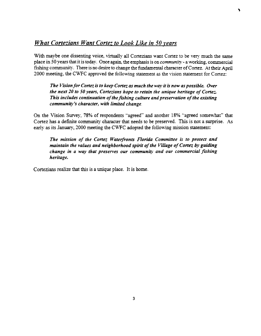### What Cortezians Want Cortez to Look Like in 50 years

With maybe one dissenting voice, virtually all Cortezians want Cortez to be very much the same place in 50 years that it is today. Once again, the emphasis is on *community* - a working, commercial fishing community. There is no desire to change the fundamental character of Cortez. At their April 2000 meeting, the CWFC approved the following statement as the vision statement for Cortez:

~

The Vision for Cortez is to keep Cortez as much the way it is now as possible. Over the next 20 to 50 years, Cortezians hope to retain the unique heritage of Cortez. This includes continuation of the fishing culture and preservation of the existing community's character, with limited change.

On the Vision Survey, 78% of respondents "agreed" and another 18% "agreed somewhat" that Cortez has a definite community character that needs to be preserved. This is not a surprise. As early as its January, 2000 meeting the CWFC adopted the following mission statement:

The mission of the Cortez Waterfronts Florida Committee is to protect and maintain the values and neighborhood spirit of the Village of Cortez by guiding change in a way that preserves our community and our commercial fishing heritage.

Cortezians realize that this is a unique place. It is home.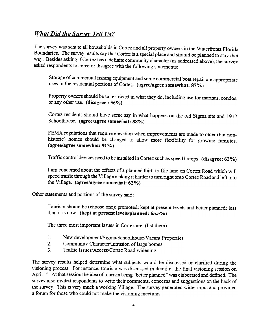### **What Did the Survey Tell Us?**

The survey was sent to all households in Cortez and all property owners in the Waterfronts Florida Boundaries. The survey results say that Cortez is a special place and should be planned to stay that way. Besides asking if Cortez has a definite community character (as addressed above), the survey asked respondents to agree or disagree with the following statements:

Storage of commercial fishing equipment and some commercial boat repair are appropriate uses in the residential portions of Cortez. (agree/agree somewhat: 87%)

Property owners should be unrestricted in what they do, including use for marinas, condos, or any other use. (disagree: 56%)

Cortez residents should have some say in what happens on the old Sigma site and 1912 Schoolhouse. (agree/agree somewhat: 88%)

FEMA regulations that require elevation when improvements are made to older (but nonhistoric) homes should be changed to allow more flexibility for growing families. (agree/agree somewhat: 91 %)

Traffic control devices need to be installed in Cortez such as speed humps. (disagree: 62%)

I am concerned about the effects of a planned third traffic lane on Cortez Road which will speed traffic through the Village making it harder to turn right onto Cortez Road and left into the Village. (agree/agree somewhat: 62%)

Other statements and portions of the survey said:

Tourism should be (choose one): promoted; kept at present levels and better planned; less than it is now. (kept at present levels/planned: 65.5%)

The three most important issues in Cortez are: (list them)

- 1 New development/Sigma/Schoolhouse/Vacant Properties
- $2<sub>1</sub>$ Community Character/Intrusion of large homes
- $3<sub>1</sub>$ Traffic Issues/Access/Cortez Road widening.

The survey results helped determine what subjects would be discussed or clarified during the visioning process. For instance, tourism was discussed in detail at the final visioning session on April 1<sup>st</sup>. At that session the idea of tourism being "better planned" was elaborated and defined. The survey also invited respondents to write their comments, concerns and suggestions on the back of the survey. This is very much a working Village. The survey generated wider input and provided a forum for those who could not make the visioning meetings.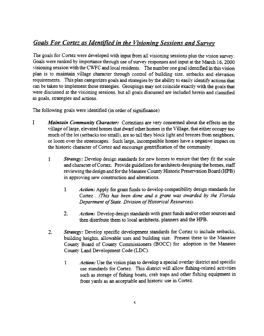## **Goals For Cortez as Identified in the Visioning Sessions and Survey**

The goals for Cortez were developed with input from all visioning sessions plus the vision survey. Goals were ranked by importance through use of survey responses and input at the March 16, 2000 visioning session with the CWFC and local residents. The number one goal identified in this vision plan is to maintain village character through control of building size, setbacks and elevation requirements. This plan categorizes goals and strategies by the ability to easily identify actions that can be taken to implement those strategies. Groupings may not coincide exactly with the goals that were discussed at the visioning sessions, but all goals discussed are included herein and classified as goals, strategies and actions.

The following goals were identified (in order of significance):

- I. Maintain Community Character: Cortezians are very concerned about the effects on the village of large, elevated homes that dwarf other homes in the Village, that either occupy too much of the lot (setbacks too small), are so tall they block light and breezes from neighbors. or loom over the streetscapes. Such large, incompatible homes have a negative impact on the historic character of Conez and encourage gentrification of the community.
	- 1 Strategy: Develop design standards for new homes to ensure that they fit the scale and character of Cortez. Provide guidelines for architects designing the homes, staff reviewing the design and for the Manatee County Historic Preservation Board (HPB) in approving new consttuction and alterations.
		- Action: Apply for grant funds to develop compatibility design standards for Cortez. (This has been done and a grant was awarded by the Florida Department of State, Division of Historical Resources). 1
		- $2.$ Action: Develop design standards with grant funds and/or other sources and then distribute them to local architects, planners and the HPB.
	- Strategy: Develop specific development standards for Cortez to include setbacks, building heights, allowable uses and building size, Present these to the Manatee County Board of County Commissioners (BOCC) for adoption in the Manatee County Land Development Code (LDC).  $\mathcal{P}$ 
		- Action: Use the vision plan to develop a special overlay district and specific use standards for Cortez. This district will allow fishing-related activities such as storage of fishing boats, crab traps and other fishing equipment in front yards as an acceptable and historic use in Cortez. 1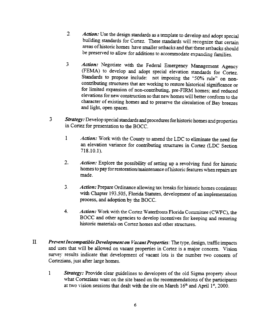- 2 Action: Use the design standards as a template to develop and adopt special building standards for Cortez. These standards will recognize that certain areas of historic homes have smaller setbacks and that these setbacks should be preserved to allow for additions to accommodate expanding families.
- 3. Action: Negotiate with the Federal Emergency Management Agency (FEMA) to develop and adopt special elevation standards for Cortez. Standards to propose include: not imposing the "50% rule" on noncontributing structures that are working to restore historical significance or for limited expansion of non-contributing, pre-FIRM homes; and reduced elevations for new construction so that new homes will better conform to the character of existing homes and to preserve the circulation of Bay breezes and light, open spaces.
- ... Strategy: Develop special standards and procedures for historic homes and properties in Cortez for presentation to the BOCC.
	- 1 Action: Work with the County to amend the LDC to eliminate the need for an elevation variance for contributing structures in Cortez (LDC Section 718.10.1).
	- $2.$ Action: Explore the possibility of setting up a revolving fund for historic<br>homes to pay for restantion (maintanance of historic factor) homes to pay tor restoration/'maintenance of historic features when repairs are made.
	- 3. Action: Prepare Ordinance allowing tax breaks for historic homes consistent with Chapter 193.505, Florida Statutes, development of an implementation process, and adoption by the BOCC.
	- 4. Action: Work with the Cortez Waterfronts Florida Committee (CWFC), the BOCC and other agencies to develop incentives for keeping and restoring historic materials on Cortez homes and other structures.
- II Prevent Incompatible Development on Vacant Properties: The type, design, traffic impacts and uses that will be allowed on vacant properties in Cortez is a major concern. Vision survey results indicate that development of vacant lots is the number two concern of Cortezians, just after large homes.
	- 1 Strategy: Provide clear guidelines to developers of the old Sigma property about what Cortezians want on the site based on the recommendations of the participants at two vision sessions that dealt with the site on March  $16<sup>th</sup>$  and April 1<sup>st</sup>, 2000.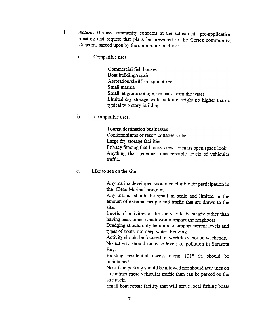- 1 Action: Discuss community concerns at the scheduled pre-application meeting and request that plans be presented to the Cortez community. Concerns agreed upon by the community include:
	- a. Compatible uses.

Commercial fish houses Boat building/repair Aeroration/shellfish aquiculrure Small marina Small, at grade cottage, set back from the water Limited dry storage with building height no higher than a typical two story building.

b. Incompatible uses.

Tourist destination businesses Condominiums or resort cottages villas Large dry storage facilities Privacy fencing that blocks views or mars open space look Anything that generates unacceptable levels of vehicular traffic.

c. Like to see on the site

Any marina developed should be eligible for participation in the 'Clean Marina' program.

Any marina should be small in scale and limited in the amount of external people and traffic that are drawn to the site.

Levels of activities at the site should be steady rather than having peak times which would impact the neighbors.

Dredging should only be done to support current levels and types of boats, not deep water dredging.

Activity should be focused on weekdays, not on weekends.

No activity should increase levels of pollution in Sarasota Bay.

Existing residential access along  $121<sup>st</sup>$  St. should be maintained.

No offsite parking should be allowed nor should activities on site attract more vehicular traffic than can be parked on the site itself.

Small boat repair facility that will serve local fishing boats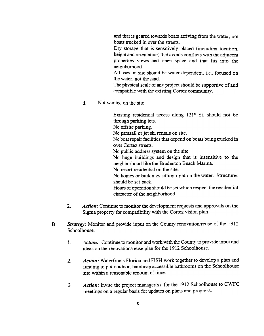and that is geared towards boats arriving from the water, not boats trucked in over the streets.

Dry storage that is sensitively placed (including location, height and orientation) that avoids conflicts with the adjacent properties views and open space and that fits into the neighborhood.

All uses on site should be water dependent. i.e.. focused on the water, not the land.

The physical scale of any project should be supportive of and compatible with the existing Cortez community.

d. Not wanted on the site

Existing residential access along  $121<sup>s</sup>$  St. should not be through parking lots.

No offsite parking.

No parasail or jet ski rentals on site.

No boat repair facilities that depend on boats being trucked in over Cortez streets.

No public address system on the site.

No huge buildings and design that is insensitive to the neighborhood like the Bradenton Beach Marina.

No resort residential on the site.

No homes or buildings sitting right on the water. Structures should be set back.

Hours of operation should be set which respect the residential character of the neighborhood.

- Action: Continue to monitor the development requests and approvals on the Sigma property for compatibility with the Conez vision plan. 2.
- $B<sub>1</sub>$ Strategy: Monitor and provide input on the County renovation/reuse of the  $1912$ Schoolhouse.
	- Action: Continue to monitor and work with the County to provide input and ideas on the renovation/reuse plan for the 1912 Schoolhouse. 1.
	- Action: Waterfronts Florida and FISH work together to develop a plan and funding to put outdoor, handicap accessible bathrooms on the Schoolhouse site within a reasonable amount of time. 2.
	- Action: Invite the project manager(s) for the 1912 Schoolhouse to CWFC meetings on a regular basis for updates on plans and progress. ., ;).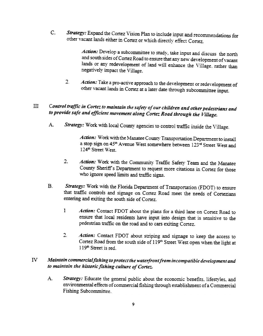C. Strategy: Expand the Cortez Vision Plan to include input and recommendations for other vacant lands either in Cortez or \\"hich directl:" effect Cortez.

> Action: Develop a subcommittee to study, take input and discuss the north and south sides of Cortez Road to ensure that any new development of vacant lands or any redevelopment of land will enhance the Village, rather than negatively impact the Village.

2. Action: Take a pro-active approach to the development or redevelopment of other vacant lands in Cortez at a later date through subcommittee input.

## III Control traffic in Cortez to maintain the safety of our children and other pedestrians and to provide safe and efficient movement along Cortez Road through the Village.

Strategy: Work with local County agencies to control traffic inside the Village.  $A<sub>1</sub>$ 

> Action: Work with the Manatee County Transportation Department to install a stop sign on 45<sup>th</sup> Avenue West somewhere between  $123<sup>nd</sup>$  Street West and 124<sup>th</sup> Street West.

- 2. Action: Work with the Community Traffic Safety Team and the Manatee County Sheriff's Department to request more citations in Cortez for those who ignore speed limits and traffic signs.
- B. Strategy: Work with the Florida Department of Transportation (FDOT) to ensure that traffic controls and signage on Cortez Road meet the needs of Conezians entering and exiting the south side of Conez.
	- 1 Action: Contact FDOT about the plans for a third lane on Cortez Road to ensure that local residents have input into design that is sensitive to the pedestrian traffic on the road and to cars exiting Conez.
	- 2. Action: Contact FDOT about striping and signage to keep the access to Cortez Road from the south side of 119<sup>th</sup> Street West open when the light at 119<sup>th</sup> Street is red.

#### IV Maintain commercial fishing to protect the waterfront from incompatible development and to maintain the historic fishing culture of Cortez.

Strategy: Educate the general public about the economic benefits, lifestyles, and  $A<sub>1</sub>$ environmental effects of commercial fishing through establishment of a Commercial Fishing Subcommittee.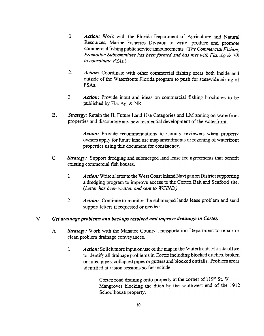- 1 Action: Work with the Florida Department of Agriculture and Natural Resources, Marine Fisheries Division to write, produce and promote commercial fishing public senrice announcements. (The Commercial Fishing Promotion Subcommittee has been formed and has met with Fla.  $Ag \& NR$ to coordinate  $PSAs.$ )
- 2. Action: Coordinate with other commercial fishing areas both inside and outside of the Waterfronts Florida program to push for statewide airing of PSAs.
- $3<sup>7</sup>$ Action: Provide input and ideas on commercial fishing brochures to be published by Fla. Ag. & NR.
- B. Strategy: Retain the IL Future Land Use Categories and LM zoning on waterfront properties and discourage any new residential development of the waterfront.

Action: Provide recommendations to County reviewers when property owners apply for future land use map amendments or rezoning of waterfront properties using this document for consistenc)'.

- C. Strategy: Support dredging and submerged land lease fee agreements that benefit existing commercial fish houses.
	- 1 Action: Write a letter to the West Coast Inland Navigation District supporting a dredging program to improve access to the Cortez Bait and Seafood site. (Letter has been written and sent to  $WCIND$ .)
	- Action: Continue to monitor the submerged lands lease problem and send support letters if requested or needed. 2.

#### v Get drainage problems and backups resolved and improve drainage in Cortez.

- Strategy: Work with the Manatee County Transportation Department to repair or clean problem drainage conveyances. A
	- Action: Solicit more input on use of the map in the Waterfronts Florida office to identify all drainage problems in Cortez including blocked ditches, broken or silted pipes, collapsed pipes or gutters and blocked outfalls. Problem areas identified at vision sessions so far include: 1

Cortez road draining onto property at the corner of  $119<sup>th</sup>$  St. W. Mangroves blocking the ditch by the southwest end of the 1912 Schoolhouse property.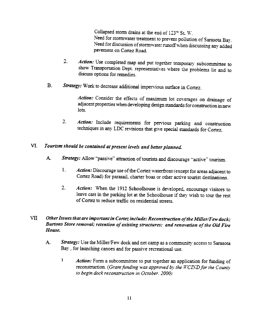Collapsed storm drains at the end of 123<sup>rc</sup> St. W. Need for stormwater treatment to prevent pollution of Sarasota Bay. Need for discussion of stormwater runoff when discussing any added pavement on Cortez Road.

- Action: Use completed map and put together temporary subcommittee to  $2.$ show Transportation Dept. representatives where the problems lie and to discuss options for remedies.
- $B<sub>1</sub>$ Strategy: Work to decrease additional impervious surface in Cortez.

Action: Consider the effects of maximum lot coverages on drainage of adjacent properties when developing design standards for construction in new lots.

Action: Include requirements for pervious parking and construction  $2.$ techniques in any LDC revisions that give special standards for Cortez.

#### $\mathbf{V}$ Tourism should be contained at present levels and better planned.

- Strategy: Allow "passive" attraction of tourists and discourage "active" tourism.  $A<sub>1</sub>$ 
	- $1.$ Action: Discourage use of the Cortez waterfront (except for areas adjacent to Cortez Road) for parasail, charter boas or other active tourist destinations.
	- $2.$ Action: When the 1912 Schoolhouse is developed, encourage visitors to leave cars in the parking lot at the Schoolhouse if they wish to tour the rest of Cortez to reduce traffic on residential streets.

#### VII Other Issues that are important in Cortez include: Reconstruction of the Miller/Few dock; Burtons Store removal; retention of existing structures; and renovation of the Old Fire House.

- $\mathbf{A}$ . Strategy: Use the Miller/Few dock and net camp as a community access to Sarasota Bay, for launching canoes and for passive recreational use.
	- $\mathbf{1}$ Action: Form a subcommittee to put together an application for funding of reconstruction. (Grant funding was approved by the WCIND for the County to begin dock reconstruction in October, 2000)